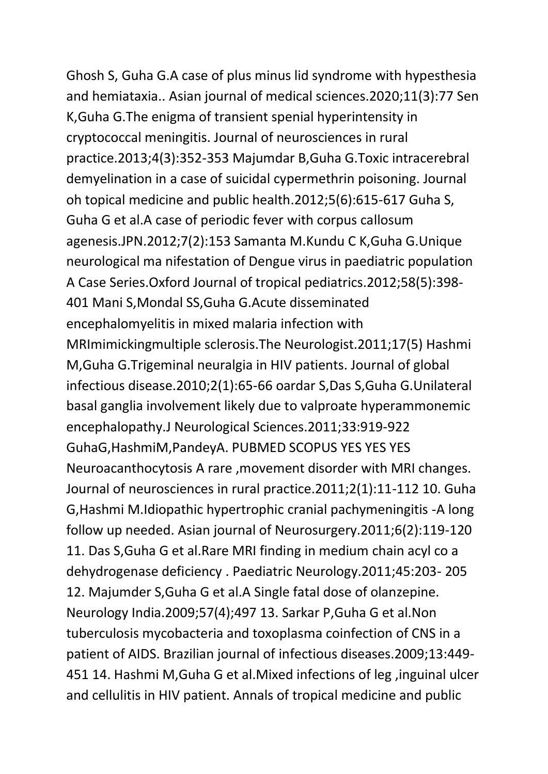Ghosh S, Guha G.A case of plus minus lid syndrome with hypesthesia and hemiataxia.. Asian journal of medical sciences.2020;11(3):77 Sen K,Guha G.The enigma of transient spenial hyperintensity in cryptococcal meningitis. Journal of neurosciences in rural practice.2013;4(3):352-353 Majumdar B,Guha G.Toxic intracerebral demyelination in a case of suicidal cypermethrin poisoning. Journal oh topical medicine and public health.2012;5(6):615-617 Guha S, Guha G et al.A case of periodic fever with corpus callosum agenesis.JPN.2012;7(2):153 Samanta M.Kundu C K,Guha G.Unique neurological ma nifestation of Dengue virus in paediatric population A Case Series.Oxford Journal of tropical pediatrics.2012;58(5):398- 401 Mani S,Mondal SS,Guha G.Acute disseminated encephalomyelitis in mixed malaria infection with MRImimickingmultiple sclerosis.The Neurologist.2011;17(5) Hashmi M,Guha G.Trigeminal neuralgia in HIV patients. Journal of global infectious disease.2010;2(1):65-66 oardar S,Das S,Guha G.Unilateral basal ganglia involvement likely due to valproate hyperammonemic encephalopathy.J Neurological Sciences.2011;33:919-922 GuhaG,HashmiM,PandeyA. PUBMED SCOPUS YES YES YES Neuroacanthocytosis A rare ,movement disorder with MRI changes. Journal of neurosciences in rural practice.2011;2(1):11-112 10. Guha G,Hashmi M.Idiopathic hypertrophic cranial pachymeningitis -A long follow up needed. Asian journal of Neurosurgery.2011;6(2):119-120 11. Das S,Guha G et al.Rare MRI finding in medium chain acyl co a dehydrogenase deficiency . Paediatric Neurology.2011;45:203- 205 12. Majumder S,Guha G et al.A Single fatal dose of olanzepine. Neurology India.2009;57(4);497 13. Sarkar P,Guha G et al.Non tuberculosis mycobacteria and toxoplasma coinfection of CNS in a patient of AIDS. Brazilian journal of infectious diseases.2009;13:449- 451 14. Hashmi M,Guha G et al.Mixed infections of leg ,inguinal ulcer and cellulitis in HIV patient. Annals of tropical medicine and public